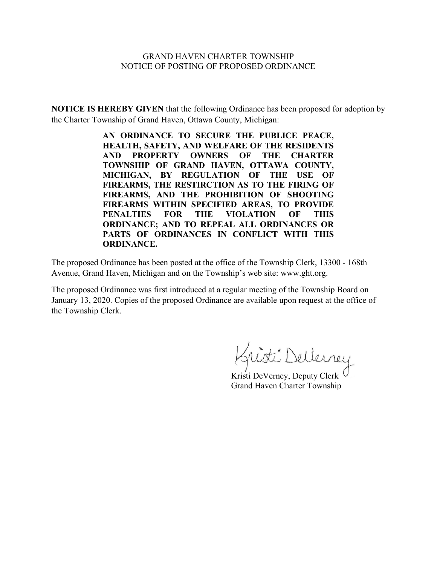#### GRAND HAVEN CHARTER TOWNSHIP NOTICE OF POSTING OF PROPOSED ORDINANCE

**NOTICE IS HEREBY GIVEN** that the following Ordinance has been proposed for adoption by the Charter Township of Grand Haven, Ottawa County, Michigan:

> **AN ORDINANCE TO SECURE THE PUBLICE PEACE, HEALTH, SAFETY, AND WELFARE OF THE RESIDENTS AND PROPERTY OWNERS OF THE CHARTER TOWNSHIP OF GRAND HAVEN, OTTAWA COUNTY, MICHIGAN, BY REGULATION OF THE USE OF FIREARMS, THE RESTIRCTION AS TO THE FIRING OF FIREARMS, AND THE PROHIBITION OF SHOOTING FIREARMS WITHIN SPECIFIED AREAS, TO PROVIDE PENALTIES FOR THE VIOLATION OF THIS ORDINANCE; AND TO REPEAL ALL ORDINANCES OR PARTS OF ORDINANCES IN CONFLICT WITH THIS ORDINANCE.**

The proposed Ordinance has been posted at the office of the Township Clerk, 13300 - 168th Avenue, Grand Haven, Michigan and on the Township's web site: www.ght.org.

The proposed Ordinance was first introduced at a regular meeting of the Township Board on January 13, 2020. Copies of the proposed Ordinance are available upon request at the office of the Township Clerk.

ti Dellerrey

Kristi DeVerney, Deputy Clerk Grand Haven Charter Township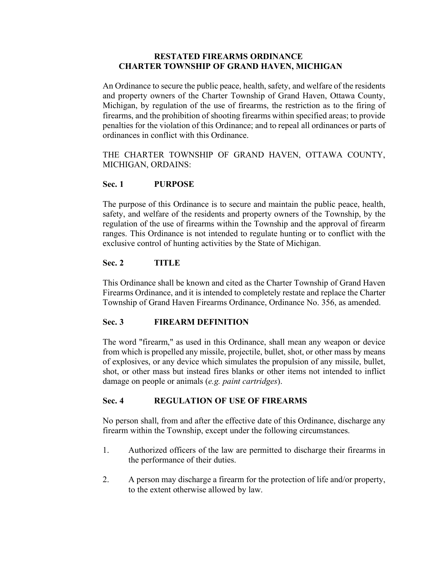#### **RESTATED FIREARMS ORDINANCE CHARTER TOWNSHIP OF GRAND HAVEN, MICHIGAN**

An Ordinance to secure the public peace, health, safety, and welfare of the residents and property owners of the Charter Township of Grand Haven, Ottawa County, Michigan, by regulation of the use of firearms, the restriction as to the firing of firearms, and the prohibition of shooting firearms within specified areas; to provide penalties for the violation of this Ordinance; and to repeal all ordinances or parts of ordinances in conflict with this Ordinance.

THE CHARTER TOWNSHIP OF GRAND HAVEN, OTTAWA COUNTY, MICHIGAN, ORDAINS:

# **Sec. 1 PURPOSE**

The purpose of this Ordinance is to secure and maintain the public peace, health, safety, and welfare of the residents and property owners of the Township, by the regulation of the use of firearms within the Township and the approval of firearm ranges. This Ordinance is not intended to regulate hunting or to conflict with the exclusive control of hunting activities by the State of Michigan.

# **Sec. 2 TITLE**

This Ordinance shall be known and cited as the Charter Township of Grand Haven Firearms Ordinance, and it is intended to completely restate and replace the Charter Township of Grand Haven Firearms Ordinance, Ordinance No. 356, as amended.

# **Sec. 3 FIREARM DEFINITION**

The word "firearm," as used in this Ordinance, shall mean any weapon or device from which is propelled any missile, projectile, bullet, shot, or other mass by means of explosives, or any device which simulates the propulsion of any missile, bullet, shot, or other mass but instead fires blanks or other items not intended to inflict damage on people or animals (*e.g. paint cartridges*).

#### **Sec. 4 REGULATION OF USE OF FIREARMS**

No person shall, from and after the effective date of this Ordinance, discharge any firearm within the Township, except under the following circumstances.

- 1. Authorized officers of the law are permitted to discharge their firearms in the performance of their duties.
- 2. A person may discharge a firearm for the protection of life and/or property, to the extent otherwise allowed by law.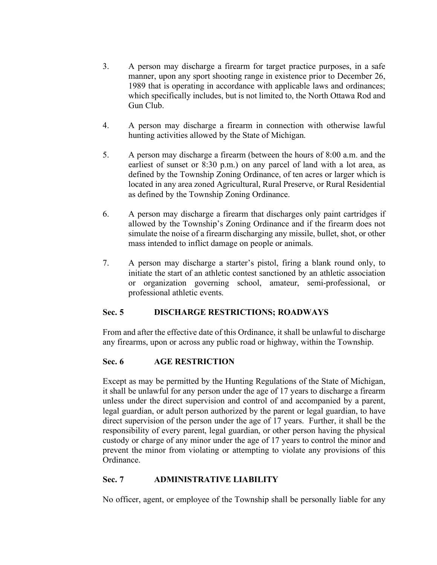- 3. A person may discharge a firearm for target practice purposes, in a safe manner, upon any sport shooting range in existence prior to December 26, 1989 that is operating in accordance with applicable laws and ordinances; which specifically includes, but is not limited to, the North Ottawa Rod and Gun Club.
- 4. A person may discharge a firearm in connection with otherwise lawful hunting activities allowed by the State of Michigan.
- 5. A person may discharge a firearm (between the hours of 8:00 a.m. and the earliest of sunset or 8:30 p.m.) on any parcel of land with a lot area, as defined by the Township Zoning Ordinance, of ten acres or larger which is located in any area zoned Agricultural, Rural Preserve, or Rural Residential as defined by the Township Zoning Ordinance.
- 6. A person may discharge a firearm that discharges only paint cartridges if allowed by the Township's Zoning Ordinance and if the firearm does not simulate the noise of a firearm discharging any missile, bullet, shot, or other mass intended to inflict damage on people or animals.
- 7. A person may discharge a starter's pistol, firing a blank round only, to initiate the start of an athletic contest sanctioned by an athletic association or organization governing school, amateur, semi-professional, or professional athletic events.

# **Sec. 5 DISCHARGE RESTRICTIONS; ROADWAYS**

From and after the effective date of this Ordinance, it shall be unlawful to discharge any firearms, upon or across any public road or highway, within the Township.

# **Sec. 6 AGE RESTRICTION**

Except as may be permitted by the Hunting Regulations of the State of Michigan, it shall be unlawful for any person under the age of 17 years to discharge a firearm unless under the direct supervision and control of and accompanied by a parent, legal guardian, or adult person authorized by the parent or legal guardian, to have direct supervision of the person under the age of 17 years. Further, it shall be the responsibility of every parent, legal guardian, or other person having the physical custody or charge of any minor under the age of 17 years to control the minor and prevent the minor from violating or attempting to violate any provisions of this Ordinance.

# **Sec. 7 ADMINISTRATIVE LIABILITY**

No officer, agent, or employee of the Township shall be personally liable for any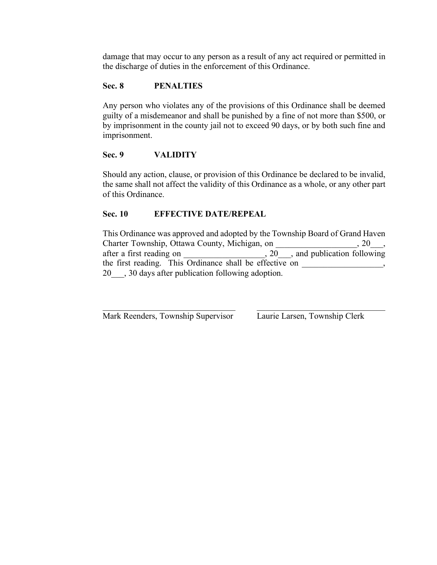damage that may occur to any person as a result of any act required or permitted in the discharge of duties in the enforcement of this Ordinance.

# **Sec. 8 PENALTIES**

Any person who violates any of the provisions of this Ordinance shall be deemed guilty of a misdemeanor and shall be punished by a fine of not more than \$500, or by imprisonment in the county jail not to exceed 90 days, or by both such fine and imprisonment.

#### **Sec. 9 VALIDITY**

Should any action, clause, or provision of this Ordinance be declared to be invalid, the same shall not affect the validity of this Ordinance as a whole, or any other part of this Ordinance.

#### **Sec. 10 EFFECTIVE DATE/REPEAL**

This Ordinance was approved and adopted by the Township Board of Grand Haven Charter Township, Ottawa County, Michigan, on \_\_\_\_\_\_\_\_\_\_\_\_\_\_\_\_\_\_, 20\_\_\_, after a first reading on \_\_\_\_\_\_\_\_\_\_\_\_\_\_\_\_\_,  $20$ \_\_\_, and publication following the first reading. This Ordinance shall be effective on \_\_\_\_\_\_\_\_\_\_\_\_\_\_\_, 20\_\_\_, 30 days after publication following adoption.

 $\mathcal{L}_\text{max}$  , and the contribution of the contribution of the contribution of the contribution of the contribution of the contribution of the contribution of the contribution of the contribution of the contribution of t

Mark Reenders, Township Supervisor Laurie Larsen, Township Clerk